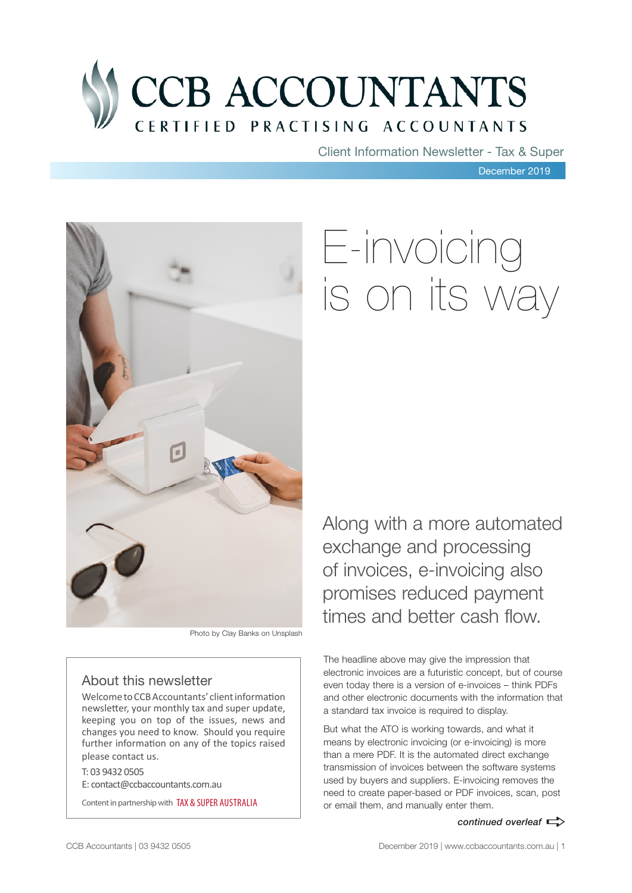

Client Information Newsletter - Tax & Super

December 2019



#### Photo by Clay Banks on Unsplash

#### About this newsletter

Welcome to CCB Accountants' client information newsletter, your monthly tax and super update, keeping you on top of the issues, news and changes you need to know. Should you require further information on any of the topics raised please contact us.

T: 03 9432 0505 E: contact@ccbaccountants.com.au

Content in partnership with TAX & SUPER AUSTRALIA

# E-invoicing is on its way

Along with a more automated exchange and processing of invoices, e-invoicing also promises reduced payment times and better cash flow.

The headline above may give the impression that electronic invoices are a futuristic concept, but of course even today there is a version of e-invoices – think PDFs and other electronic documents with the information that a standard tax invoice is required to display.

But what the ATO is working towards, and what it means by electronic invoicing (or e-invoicing) is more than a mere PDF. It is the automated direct exchange transmission of invoices between the software systems used by buyers and suppliers. E-invoicing removes the need to create paper-based or PDF invoices, scan, post or email them, and manually enter them.

#### *continued overleaf*  $\Rightarrow$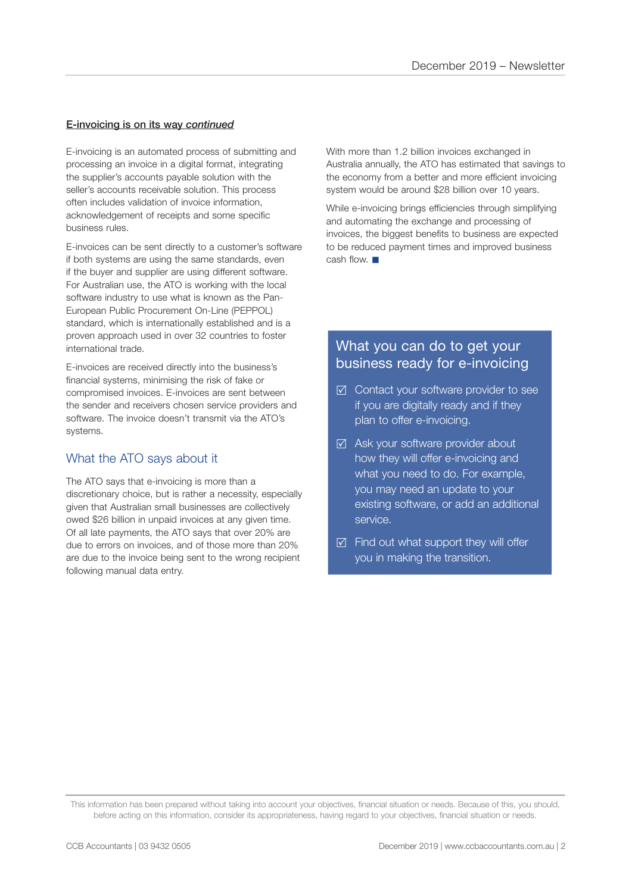#### E-invoicing is on its way *continued*

E-invoicing is an automated process of submitting and processing an invoice in a digital format, integrating the supplier's accounts payable solution with the seller's accounts receivable solution. This process often includes validation of invoice information, acknowledgement of receipts and some specific business rules.

E-invoices can be sent directly to a customer's software if both systems are using the same standards, even if the buyer and supplier are using different software. For Australian use, the ATO is working with the local software industry to use what is known as the Pan-European Public Procurement On-Line (PEPPOL) standard, which is internationally established and is a proven approach used in over 32 countries to foster international trade.

E-invoices are received directly into the business's financial systems, minimising the risk of fake or compromised invoices. E-invoices are sent between the sender and receivers chosen service providers and software. The invoice doesn't transmit via the ATO's systems.

#### What the ATO says about it

The ATO says that e-invoicing is more than a discretionary choice, but is rather a necessity, especially given that Australian small businesses are collectively owed \$26 billion in unpaid invoices at any given time. Of all late payments, the ATO says that over 20% are due to errors on invoices, and of those more than 20% are due to the invoice being sent to the wrong recipient following manual data entry.

With more than 1.2 billion invoices exchanged in Australia annually, the ATO has estimated that savings to the economy from a better and more efficient invoicing system would be around \$28 billion over 10 years.

While e-invoicing brings efficiencies through simplifying and automating the exchange and processing of invoices, the biggest benefits to business are expected to be reduced payment times and improved business cash flow.  $\blacksquare$ 

#### What you can do to get your business ready for e-invoicing

- ⊠ Contact your software provider to see if you are digitally ready and if they plan to offer e-invoicing.
- $\boxtimes$  Ask your software provider about how they will offer e-invoicing and what you need to do. For example, you may need an update to your existing software, or add an additional service.
- $\boxtimes$  Find out what support they will offer you in making the transition.

This information has been prepared without taking into account your objectives, financial situation or needs. Because of this, you should, before acting on this information, consider its appropriateness, having regard to your objectives, financial situation or needs.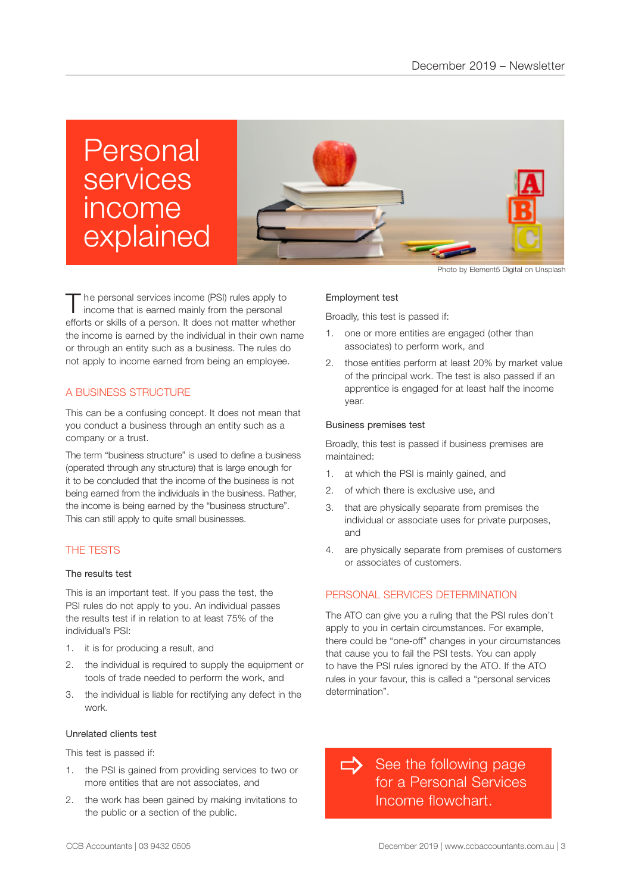## Personal services income explained



The personal services income (PSI) rules apply to income that is earned mainly from the personal efforts or skills of a person. It does not matter whether the income is earned by the individual in their own name or through an entity such as a business. The rules do not apply to income earned from being an employee.

#### A BUSINESS STRUCTURE

This can be a confusing concept. It does not mean that you conduct a business through an entity such as a company or a trust.

The term "business structure" is used to define a business (operated through any structure) that is large enough for it to be concluded that the income of the business is not being earned from the individuals in the business. Rather, the income is being earned by the "business structure". This can still apply to quite small businesses.

#### THE TESTS

#### The results test

This is an important test. If you pass the test, the PSI rules do not apply to you. An individual passes the results test if in relation to at least 75% of the individual's PSI:

- 1. it is for producing a result, and
- 2. the individual is required to supply the equipment or tools of trade needed to perform the work, and
- 3. the individual is liable for rectifying any defect in the work.

#### Unrelated clients test

This test is passed if:

- 1. the PSI is gained from providing services to two or more entities that are not associates, and
- 2. the work has been gained by making invitations to the public or a section of the public.

Photo by Element5 Digital on Unsplash

#### Employment test

Broadly, this test is passed if:

- 1. one or more entities are engaged (other than associates) to perform work, and
- 2. those entities perform at least 20% by market value of the principal work. The test is also passed if an apprentice is engaged for at least half the income year.

#### Business premises test

Broadly, this test is passed if business premises are maintained:

- 1. at which the PSI is mainly gained, and
- 2. of which there is exclusive use, and
- 3. that are physically separate from premises the individual or associate uses for private purposes, and
- 4. are physically separate from premises of customers or associates of customers.

#### PERSONAL SERVICES DETERMINATION

The ATO can give you a ruling that the PSI rules don't apply to you in certain circumstances. For example, there could be "one-off" changes in your circumstances that cause you to fail the PSI tests. You can apply to have the PSI rules ignored by the ATO. If the ATO rules in your favour, this is called a "personal services determination".

See the following page for a Personal Services Income flowchart.  $\Rightarrow$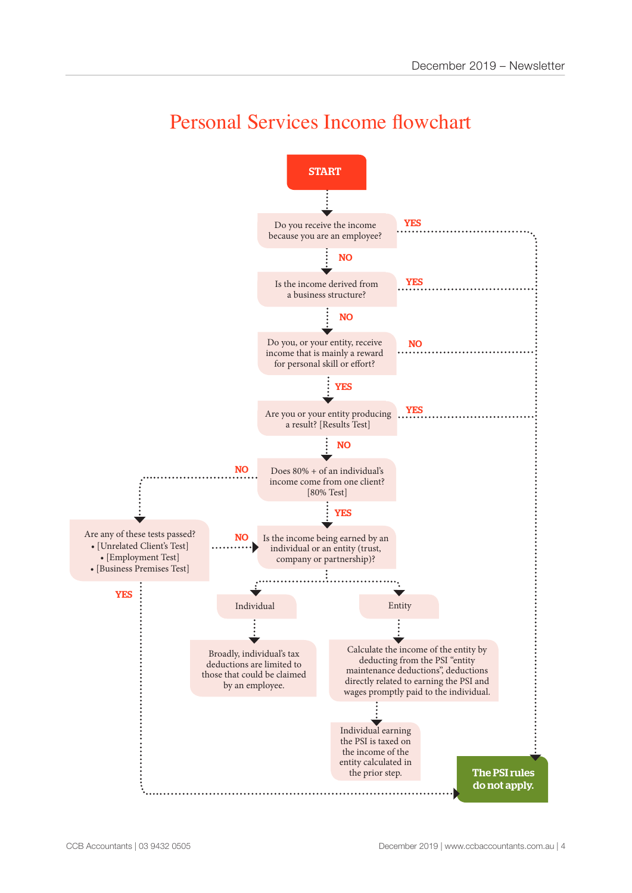

### Personal Services Income flowchart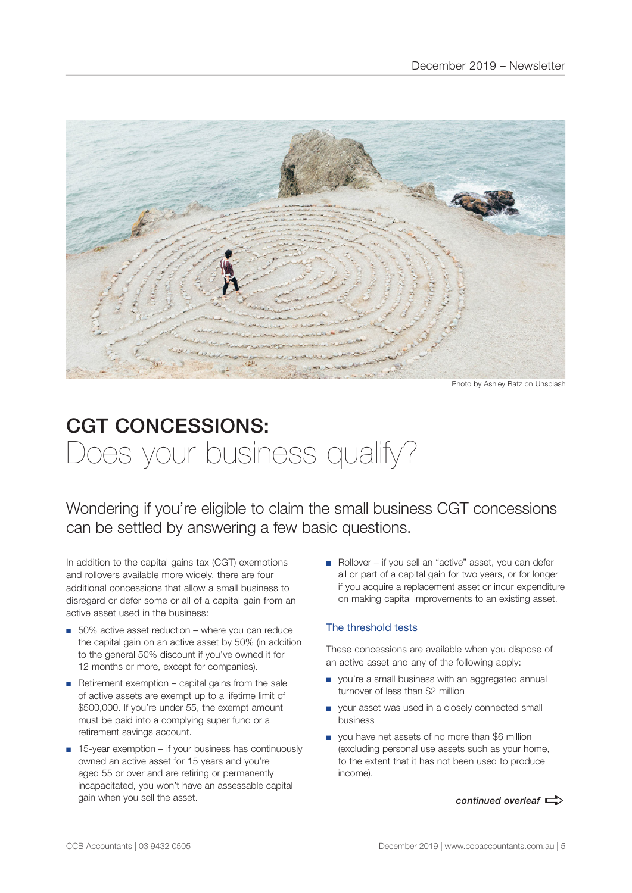

Photo by Ashley Batz on Unsplash

### CGT CONCESSIONS: Does your business qualify?

Wondering if you're eligible to claim the small business CGT concessions can be settled by answering a few basic questions.

In addition to the capital gains tax (CGT) exemptions and rollovers available more widely, there are four additional concessions that allow a small business to disregard or defer some or all of a capital gain from an active asset used in the business:

- 50% active asset reduction where you can reduce the capital gain on an active asset by 50% (in addition to the general 50% discount if you've owned it for 12 months or more, except for companies).
- Retirement exemption capital gains from the sale of active assets are exempt up to a lifetime limit of \$500,000. If you're under 55, the exempt amount must be paid into a complying super fund or a retirement savings account.
- 15-year exemption if your business has continuously owned an active asset for 15 years and you're aged 55 or over and are retiring or permanently incapacitated, you won't have an assessable capital gain when you sell the asset.

■ Rollover – if you sell an "active" asset, you can defer all or part of a capital gain for two years, or for longer if you acquire a replacement asset or incur expenditure on making capital improvements to an existing asset.

#### The threshold tests

These concessions are available when you dispose of an active asset and any of the following apply:

- you're a small business with an aggregated annual turnover of less than \$2 million
- your asset was used in a closely connected small business
- you have net assets of no more than \$6 million (excluding personal use assets such as your home, to the extent that it has not been used to produce income).

*continued overleaf*  $\Rightarrow$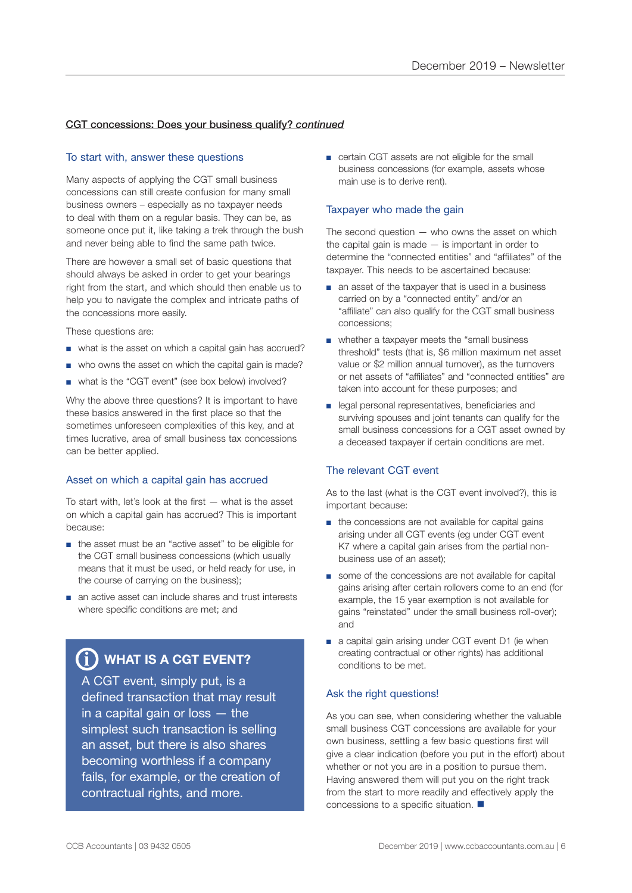#### CGT concessions: Does your business qualify? *continued*

#### To start with, answer these questions

Many aspects of applying the CGT small business concessions can still create confusion for many small business owners – especially as no taxpayer needs to deal with them on a regular basis. They can be, as someone once put it, like taking a trek through the bush and never being able to find the same path twice.

There are however a small set of basic questions that should always be asked in order to get your bearings right from the start, and which should then enable us to help you to navigate the complex and intricate paths of the concessions more easily.

These questions are:

- what is the asset on which a capital gain has accrued?
- who owns the asset on which the capital gain is made?
- what is the "CGT event" (see box below) involved?

Why the above three questions? It is important to have these basics answered in the first place so that the sometimes unforeseen complexities of this key, and at times lucrative, area of small business tax concessions can be better applied.

#### Asset on which a capital gain has accrued

To start with, let's look at the first — what is the asset on which a capital gain has accrued? This is important because:

- the asset must be an "active asset" to be eligible for the CGT small business concessions (which usually means that it must be used, or held ready for use, in the course of carrying on the business);
- an active asset can include shares and trust interests where specific conditions are met; and

### $\bf \hat{j}$ ) WHAT IS A CGT EVENT?

A CGT event, simply put, is a defined transaction that may result in a capital gain or loss — the simplest such transaction is selling an asset, but there is also shares becoming worthless if a company fails, for example, or the creation of contractual rights, and more.

■ certain CGT assets are not eligible for the small business concessions (for example, assets whose main use is to derive rent).

#### Taxpayer who made the gain

The second question  $-$  who owns the asset on which the capital gain is made  $-$  is important in order to determine the "connected entities" and "affiliates" of the taxpayer. This needs to be ascertained because:

- an asset of the taxpayer that is used in a business carried on by a "connected entity" and/or an "affiliate" can also qualify for the CGT small business concessions;
- whether a taxpayer meets the "small business threshold" tests (that is, \$6 million maximum net asset value or \$2 million annual turnover), as the turnovers or net assets of "affiliates" and "connected entities" are taken into account for these purposes; and
- legal personal representatives, beneficiaries and surviving spouses and joint tenants can qualify for the small business concessions for a CGT asset owned by a deceased taxpayer if certain conditions are met.

#### The relevant CGT event

As to the last (what is the CGT event involved?), this is important because:

- the concessions are not available for capital gains arising under all CGT events (eg under CGT event K7 where a capital gain arises from the partial nonbusiness use of an asset);
- some of the concessions are not available for capital gains arising after certain rollovers come to an end (for example, the 15 year exemption is not available for gains "reinstated" under the small business roll-over); and
- a capital gain arising under CGT event D1 (ie when creating contractual or other rights) has additional conditions to be met.

#### Ask the right questions!

As you can see, when considering whether the valuable small business CGT concessions are available for your own business, settling a few basic questions first will give a clear indication (before you put in the effort) about whether or not you are in a position to pursue them. Having answered them will put you on the right track from the start to more readily and effectively apply the concessions to a specific situation.  $\blacksquare$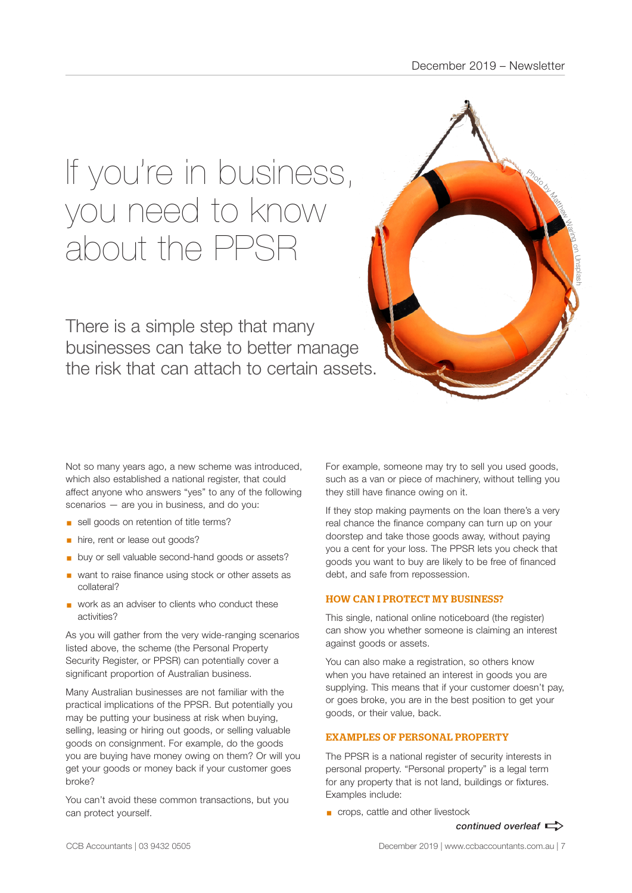# If you're in business, you need to know about the PPSR

There is a simple step that many businesses can take to better manage the risk that can attach to certain assets.



Not so many years ago, a new scheme was introduced, which also established a national register, that could affect anyone who answers "yes" to any of the following scenarios — are you in business, and do you:

- sell goods on retention of title terms?
- **•** hire, rent or lease out goods?
- buy or sell valuable second-hand goods or assets?
- want to raise finance using stock or other assets as collateral?
- work as an adviser to clients who conduct these activities?

As you will gather from the very wide-ranging scenarios listed above, the scheme (the Personal Property Security Register, or PPSR) can potentially cover a significant proportion of Australian business.

Many Australian businesses are not familiar with the practical implications of the PPSR. But potentially you may be putting your business at risk when buying, selling, leasing or hiring out goods, or selling valuable goods on consignment. For example, do the goods you are buying have money owing on them? Or will you get your goods or money back if your customer goes broke?

You can't avoid these common transactions, but you can protect yourself.

For example, someone may try to sell you used goods, such as a van or piece of machinery, without telling you they still have finance owing on it.

If they stop making payments on the loan there's a very real chance the finance company can turn up on your doorstep and take those goods away, without paying you a cent for your loss. The PPSR lets you check that goods you want to buy are likely to be free of financed debt, and safe from repossession.

#### HOW CAN I PROTECT MY BUSINESS?

This single, national online noticeboard (the register) can show you whether someone is claiming an interest against goods or assets.

You can also make a registration, so others know when you have retained an interest in goods you are supplying. This means that if your customer doesn't pay, or goes broke, you are in the best position to get your goods, or their value, back.

#### EXAMPLES OF PERSONAL PROPERTY

The PPSR is a national register of security interests in personal property. "Personal property" is a legal term for any property that is not land, buildings or fixtures. Examples include:

■ crops, cattle and other livestock

*continued overleaf*  $\Rightarrow$